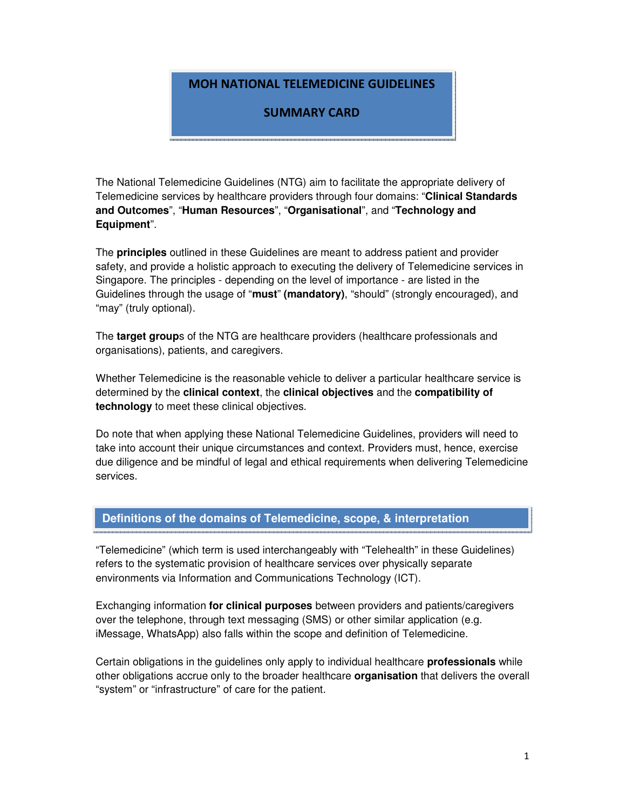## MOH NATIONAL TELEMEDICINE GUIDELINES

## SUMMARY CARD

The National Telemedicine Guidelines (NTG) aim to facilitate the appropriate delivery of Telemedicine services by healthcare providers through four domains: "**Clinical Standards and Outcomes**", "**Human Resources**", "**Organisational**", and "**Technology and Equipment**".

The **principles** outlined in these Guidelines are meant to address patient and provider safety, and provide a holistic approach to executing the delivery of Telemedicine services in Singapore. The principles - depending on the level of importance - are listed in the Guidelines through the usage of "**must**" **(mandatory)**, "should" (strongly encouraged), and "may" (truly optional).

The **target group**s of the NTG are healthcare providers (healthcare professionals and organisations), patients, and caregivers.

Whether Telemedicine is the reasonable vehicle to deliver a particular healthcare service is determined by the **clinical context**, the **clinical objectives** and the **compatibility of technology** to meet these clinical objectives.

Do note that when applying these National Telemedicine Guidelines, providers will need to take into account their unique circumstances and context. Providers must, hence, exercise due diligence and be mindful of legal and ethical requirements when delivering Telemedicine services.

## **Definitions of the domains of Telemedicine, scope, & interpretation**

"Telemedicine" (which term is used interchangeably with "Telehealth" in these Guidelines) refers to the systematic provision of healthcare services over physically separate environments via Information and Communications Technology (ICT).

Exchanging information **for clinical purposes** between providers and patients/caregivers over the telephone, through text messaging (SMS) or other similar application (e.g. iMessage, WhatsApp) also falls within the scope and definition of Telemedicine.

Certain obligations in the guidelines only apply to individual healthcare **professionals** while other obligations accrue only to the broader healthcare **organisation** that delivers the overall "system" or "infrastructure" of care for the patient.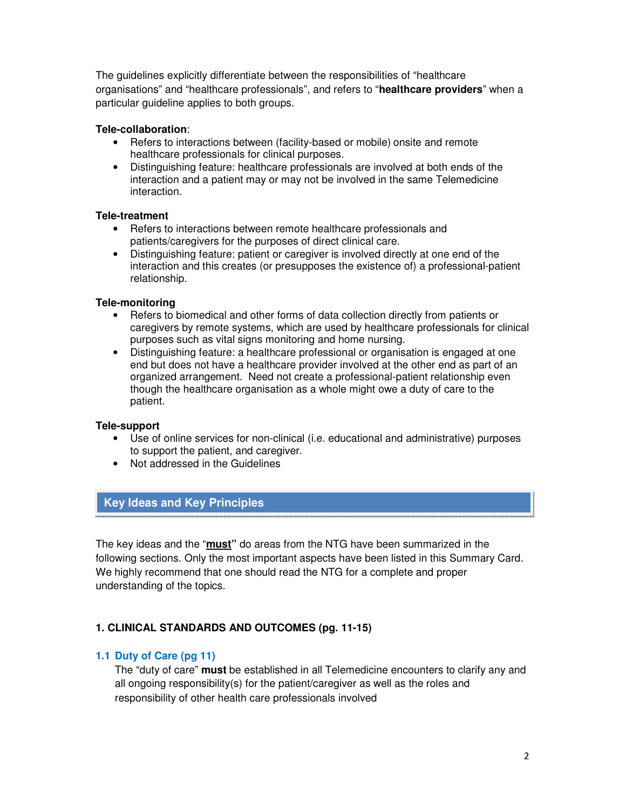The guidelines explicitly differentiate between the responsibilities of "healthcare organisations" and "healthcare professionals", and refers to "**healthcare providers**" when a particular guideline applies to both groups.

## **Tele-collaboration**:

- Refers to interactions between (facility-based or mobile) onsite and remote healthcare professionals for clinical purposes.
- Distinguishing feature: healthcare professionals are involved at both ends of the interaction and a patient may or may not be involved in the same Telemedicine interaction.

## **Tele-treatment**

- Refers to interactions between remote healthcare professionals and patients/caregivers for the purposes of direct clinical care.
- Distinguishing feature: patient or caregiver is involved directly at one end of the interaction and this creates (or presupposes the existence of) a professional-patient relationship.

## **Tele-monitoring**

- Refers to biomedical and other forms of data collection directly from patients or caregivers by remote systems, which are used by healthcare professionals for clinical purposes such as vital signs monitoring and home nursing.
- Distinguishing feature: a healthcare professional or organisation is engaged at one end but does not have a healthcare provider involved at the other end as part of an organized arrangement. Need not create a professional-patient relationship even though the healthcare organisation as a whole might owe a duty of care to the patient.

## **Tele-support**

- Use of online services for non-clinical (i.e. educational and administrative) purposes to support the patient, and caregiver.
- Not addressed in the Guidelines

# **Key Ideas and Key Principles**

The key ideas and the "**must"** do areas from the NTG have been summarized in the following sections. Only the most important aspects have been listed in this Summary Card. We highly recommend that one should read the NTG for a complete and proper understanding of the topics.

## **1. CLINICAL STANDARDS AND OUTCOMES (pg. 11-15)**

## **1.1 Duty of Care (pg 11)**

The "duty of care" **must** be established in all Telemedicine encounters to clarify any and all ongoing responsibility(s) for the patient/caregiver as well as the roles and responsibility of other health care professionals involved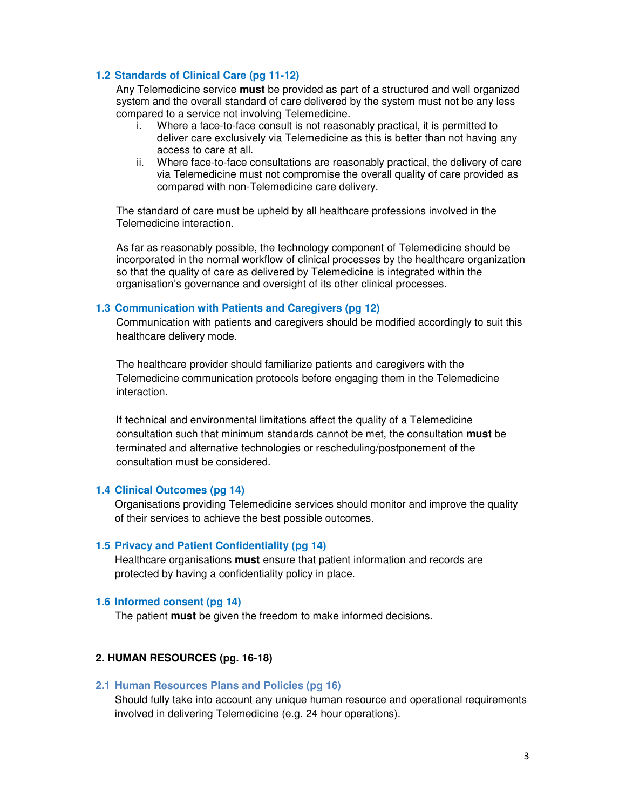### **1.2 Standards of Clinical Care (pg 11-12)**

Any Telemedicine service **must** be provided as part of a structured and well organized system and the overall standard of care delivered by the system must not be any less compared to a service not involving Telemedicine.

- i. Where a face-to-face consult is not reasonably practical, it is permitted to deliver care exclusively via Telemedicine as this is better than not having any access to care at all.
- ii. Where face-to-face consultations are reasonably practical, the delivery of care via Telemedicine must not compromise the overall quality of care provided as compared with non-Telemedicine care delivery.

The standard of care must be upheld by all healthcare professions involved in the Telemedicine interaction.

As far as reasonably possible, the technology component of Telemedicine should be incorporated in the normal workflow of clinical processes by the healthcare organization so that the quality of care as delivered by Telemedicine is integrated within the organisation's governance and oversight of its other clinical processes.

### **1.3 Communication with Patients and Caregivers (pg 12)**

Communication with patients and caregivers should be modified accordingly to suit this healthcare delivery mode.

The healthcare provider should familiarize patients and caregivers with the Telemedicine communication protocols before engaging them in the Telemedicine interaction.

If technical and environmental limitations affect the quality of a Telemedicine consultation such that minimum standards cannot be met, the consultation **must** be terminated and alternative technologies or rescheduling/postponement of the consultation must be considered.

#### **1.4 Clinical Outcomes (pg 14)**

Organisations providing Telemedicine services should monitor and improve the quality of their services to achieve the best possible outcomes.

#### **1.5 Privacy and Patient Confidentiality (pg 14)**

Healthcare organisations **must** ensure that patient information and records are protected by having a confidentiality policy in place.

#### **1.6 Informed consent (pg 14)**

The patient **must** be given the freedom to make informed decisions.

## **2. HUMAN RESOURCES (pg. 16-18)**

#### **2.1 Human Resources Plans and Policies (pg 16)**

Should fully take into account any unique human resource and operational requirements involved in delivering Telemedicine (e.g. 24 hour operations).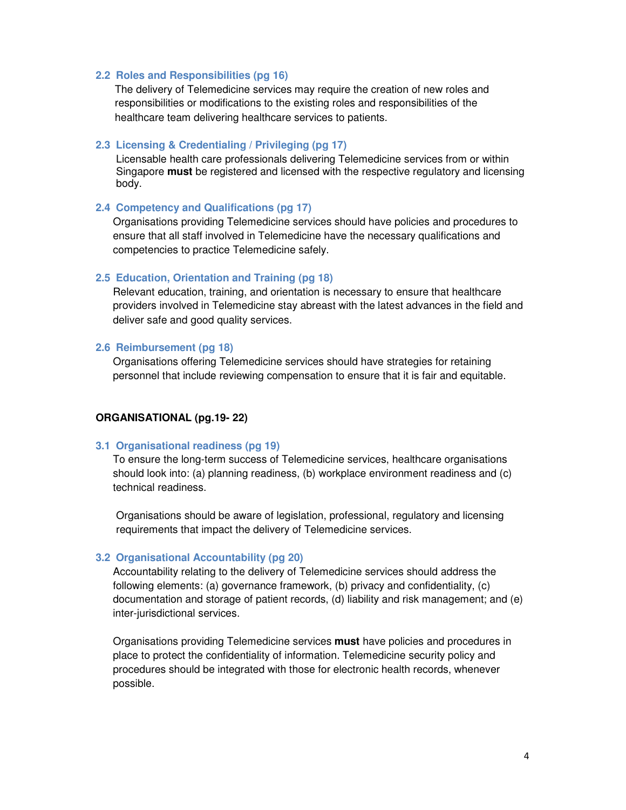#### **2.2 Roles and Responsibilities (pg 16)**

The delivery of Telemedicine services may require the creation of new roles and responsibilities or modifications to the existing roles and responsibilities of the healthcare team delivering healthcare services to patients.

#### **2.3 Licensing & Credentialing / Privileging (pg 17)**

Licensable health care professionals delivering Telemedicine services from or within Singapore **must** be registered and licensed with the respective regulatory and licensing body.

#### **2.4 Competency and Qualifications (pg 17)**

Organisations providing Telemedicine services should have policies and procedures to ensure that all staff involved in Telemedicine have the necessary qualifications and competencies to practice Telemedicine safely.

#### **2.5 Education, Orientation and Training (pg 18)**

Relevant education, training, and orientation is necessary to ensure that healthcare providers involved in Telemedicine stay abreast with the latest advances in the field and deliver safe and good quality services.

#### **2.6 Reimbursement (pg 18)**

Organisations offering Telemedicine services should have strategies for retaining personnel that include reviewing compensation to ensure that it is fair and equitable.

### **ORGANISATIONAL (pg.19- 22)**

#### **3.1 Organisational readiness (pg 19)**

To ensure the long-term success of Telemedicine services, healthcare organisations should look into: (a) planning readiness, (b) workplace environment readiness and (c) technical readiness.

Organisations should be aware of legislation, professional, regulatory and licensing requirements that impact the delivery of Telemedicine services.

#### **3.2 Organisational Accountability (pg 20)**

Accountability relating to the delivery of Telemedicine services should address the following elements: (a) governance framework, (b) privacy and confidentiality, (c) documentation and storage of patient records, (d) liability and risk management; and (e) inter-jurisdictional services.

Organisations providing Telemedicine services **must** have policies and procedures in place to protect the confidentiality of information. Telemedicine security policy and procedures should be integrated with those for electronic health records, whenever possible.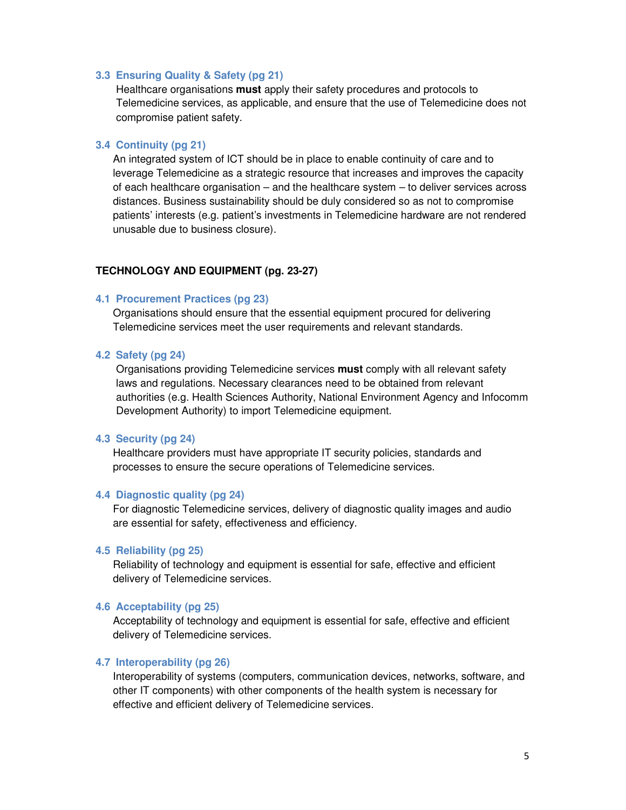#### **3.3 Ensuring Quality & Safety (pg 21)**

Healthcare organisations **must** apply their safety procedures and protocols to Telemedicine services, as applicable, and ensure that the use of Telemedicine does not compromise patient safety.

### **3.4 Continuity (pg 21)**

An integrated system of ICT should be in place to enable continuity of care and to leverage Telemedicine as a strategic resource that increases and improves the capacity of each healthcare organisation – and the healthcare system – to deliver services across distances. Business sustainability should be duly considered so as not to compromise patients' interests (e.g. patient's investments in Telemedicine hardware are not rendered unusable due to business closure).

## **TECHNOLOGY AND EQUIPMENT (pg. 23-27)**

#### **4.1 Procurement Practices (pg 23)**

Organisations should ensure that the essential equipment procured for delivering Telemedicine services meet the user requirements and relevant standards.

### **4.2 Safety (pg 24)**

Organisations providing Telemedicine services **must** comply with all relevant safety laws and regulations. Necessary clearances need to be obtained from relevant authorities (e.g. Health Sciences Authority, National Environment Agency and Infocomm Development Authority) to import Telemedicine equipment.

#### **4.3 Security (pg 24)**

Healthcare providers must have appropriate IT security policies, standards and processes to ensure the secure operations of Telemedicine services.

#### **4.4 Diagnostic quality (pg 24)**

For diagnostic Telemedicine services, delivery of diagnostic quality images and audio are essential for safety, effectiveness and efficiency.

#### **4.5 Reliability (pg 25)**

Reliability of technology and equipment is essential for safe, effective and efficient delivery of Telemedicine services.

### **4.6 Acceptability (pg 25)**

Acceptability of technology and equipment is essential for safe, effective and efficient delivery of Telemedicine services.

#### **4.7 Interoperability (pg 26)**

Interoperability of systems (computers, communication devices, networks, software, and other IT components) with other components of the health system is necessary for effective and efficient delivery of Telemedicine services.